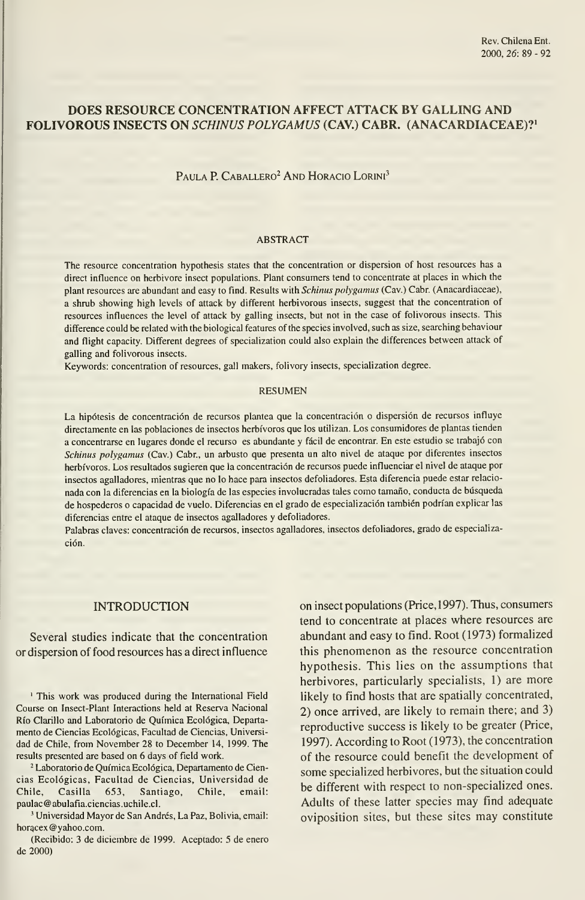# DOES RESOURCE CONCENTRATION AFFECT ATTACK BY GALLING AND FOLIVOROUS INSECTS ON SCHINUS POLYGAMUS (CAV.) CABR. (ANACARDIACEAE)?'

## PAULA P. CABALLERO<sup>2</sup> AND HORACIO LORINI<sup>3</sup>

#### ABSTRACT

The resource concentration hypothesis states that the concentration or dispersion of host resources has a direct influence on herbivore insect populations. Plant consumers tend to concentrate at places in which the plant resources are abundant and easy to find. Results with Schinus polygamus (Cav.) Cabr. (Anacardiaceae), a shrub showing high levels of attack by different herbivorous insects, suggest that the concentration of resources influences the level of attack by galling insects, but not in the case of folivorous insects. This difference could be related with the biological features of the species involved, such as size, searching behaviour and flight capacity. Different degrees of specialization could also explain the differences between attack of galling and folivorous insects.

Keywords: concentration of resources, gall makers, folivory insects, specialization degree.

#### RESUMEN

La hipótesis de concentración de recursos plantea que la concentración o dispersión de recursos influye directamente en las poblaciones de insectos herbívoros que los utilizan. Los consumidores de plantas tienden <sup>a</sup> concentrarse en lugares donde el recurso es abundante y fácil de encontrar. En este estudio se trabajó con Schinus polygamus (Cav.) Cabr., un arbusto que presenta un alto nivel de ataque por diferentes insectos herbívoros. Los resultados sugieren que la concentración de recursos puede influenciar el nivel de ataque por insectos agalladores, mientras que no lo hace para insectos defoliadores. Esta diferencia puede estar relacio nada con la diferencias en la biología de las especies involucradas tales como tamaño, conducta de búsqueda de hospederos o capacidad de vuelo. Diferencias en el grado de especialización también podrían explicar las diferencias entre el ataque de insectos agalladores y defoliadores.

Palabras claves: concentración de recursos, insectos agalladores, insectos defoliadores, grado de especialización.

#### INTRODUCTION

Several studies indicate that the concentration or dispersión of food resources has a direct influence

' This work was produced during the International Field Course on Insect-Plant Interactions held at Reserva Nacional Río Clarillo and Laboratorio de Química Ecológica, Departa mento de Ciencias Ecológicas, Facultad de Ciencias, Universi dad de Chile, from November 28 to December 14, 1999. The results presented are based on 6 days of field work.

<sup>2</sup> Laboratorio de Química Ecológica, Departamento de Ciencias Ecológicas, Facultad de Ciencias, Universidad de Chile, Casilla 653, Santiago, Chile, email: paulac@abulafia.ciencias.uchile.cl.

' Universidad Mayor de San Andrés, La Paz, Bolivia, email: horacex @yahoo.com.

(Recibido: 3 de diciembre de 1999. Aceptado: 5 de enero de 2000)

on insect populations (Price,1997). Thus, consumers tend to concentrate at places where resources are abundant and easy to fínd. Root (1973) formalized this phenomenon as the resource concentration hypothesis. This lies on the assumptions that herbivores, particularly specialists, 1) are more likely to find hosts that are spatially concentrated, 2) once arrived, are likely to remain there; and 3) reproductive success is likely to be greater (Price, 1997). According to Root (1973), the concentration of the resource could benefit the development of some specialized herbivores, but the situation could be different with respect to non-specialized ones. Adults of these latter species may fínd adequate oviposition sites, but these sites may constitute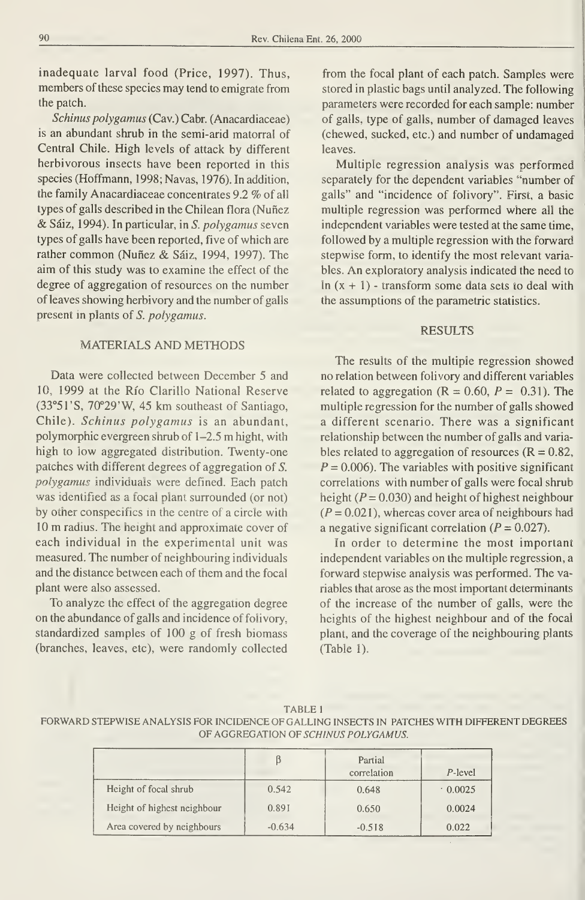inadequate larval food (Price, 1997). Thus, members of these species may tend to emigrate from the patch.

Schinus polygamus (Cav.) Cabr. (Anacardiaceae) is an abundant shrub in the semi-arid matorral of Central Chile. High levels of attack by different herbivorous insects have been reported in this species (Hoffmann, 1998; Navas, 1976). In addition, the family Anacardiaceae concentrates 9.2 % of all types of galls described in the Chilean flora (Nuñez & Sáiz, 1994). In particular, in S. polygamus seven types of galls have been reported, five of which are rather common (Nuñez & Sáiz, 1994, 1997). The aim of this study was to examine the effect of the degree of aggregation of resources on the number of leaves showing herbivory and the number of galls present in plants of S. polygamus.

### MATERIALS AND METHODS

Data were collected between December 5 and 10, 1999 at the Río Clarillo National Reserve (33°51'S, 70°29'W, 45 km southeast of Santiago, Chile). Schinus polygamus is an abundant, polymorphic evergreen shrub of 1-2.5 m hight, with high to low aggregated distribution. Twenty-one patches with different degrees of aggregation of S. polygamus individuals were defined. Each patch was ídentified as a focal plant surrounded (or not) by other conspecifics in the centre of a circle with <sup>10</sup> m radius. The height and approximate cover of each individual in the experimental unit was measured. The number of neighbouring individuals and the distance between each of them and the focal plant were also assessed.

To analyze the effect of the aggregation degree on the abundance of galls and incidence of folivory, standardized samples of 100 g of fresh biomass (branches, leaves, etc), were randomly collected from the focal plant of each patch. Samples were stored in plastic bags until analyzed. The following parameters were recorded for each sample: number of galls, type of galls, number of damaged leaves (chewed, sucked, etc.) and number of undamaged leaves.

Multiple regression analysis was performed separately for the dependent variables "number of galls" and "incidence of folivory". First, a basic multiple regression was performed where all the independent variables were tested at the same time, followed by a multiple regression with the forward stepwise form, to identify the most relevant variables. An exploratory analysis indicated the need to In  $(x + 1)$  - transform some data sets to deal with the assumptions of the parametric statistics.

### RESULTS

The results of the multiple regression showed no relation between folivory and different variables related to aggregation ( $R = 0.60$ ,  $P = 0.31$ ). The multiple regression for the number of galls showed a different scenario. There was a significant relationship between the number of galls and varia bles related to aggregation of resources  $(R = 0.82,$  $P = 0.006$ . The variables with positive significant correlations with number of galls were focal shrub height ( $P = 0.030$ ) and height of highest neighbour  $(P = 0.021)$ , whereas cover area of neighbours had a negative significant correlation ( $P = 0.027$ ).

In order to determine the most important independent variables on the multiple regression, a forward stepwise analysis was performed. The variables that aróse as the most important determinants of the increase of the number of galls, were the heights of the highest neighbour and of the focal plant, and the coverage of the neighbouring plants (Table 1).

|  | <b>TABLE 1</b> |  |  |  |
|--|----------------|--|--|--|
|--|----------------|--|--|--|

FORWARD STEPWISE ANALYSIS FOR INCIDENCE OF GALLING INSECTS IN PATCHES WITH DIFFERENT DEGREES OF AGGREGATION OF SCHINUS POLYGAMUS.

|                             |          | Partial<br>correlation | P-level |
|-----------------------------|----------|------------------------|---------|
| Height of focal shrub       | 0.542    | 0.648                  | 0.0025  |
| Height of highest neighbour | 0.891    | 0.650                  | 0.0024  |
| Area covered by neighbours  | $-0.634$ | $-0.518$               | 0.022   |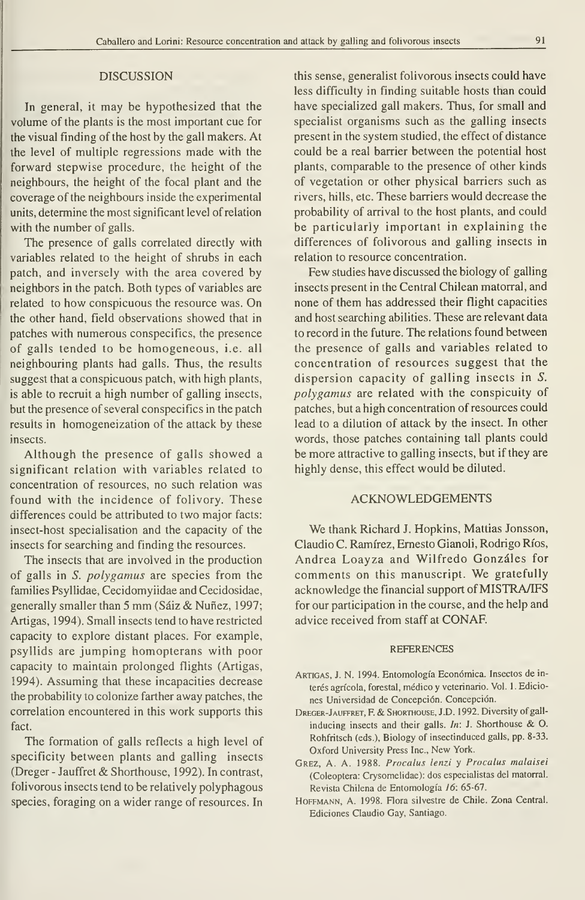### DISCUSSION

In general, it may be hypothesized that the volume of the plants is the most important cue for the visual finding of the host by the gall makers. At the level of multiple regressions made with the forward stepwise procedure, the height of the neighbours, the height of the focal plant and the coverage of the neighbours inside the experimental units, determine the most significant level of relation with the number of galls.

The presence of galls correlated directly with variables related to the height of shrubs in each patch, and inversely with the area covered by neighbors in the patch. Both types of variables are related to how conspicuous the resource was. On the other hand, field observations showed that in patches with numerous conspecifics, the presence of galls tended to be homogeneous, i.e. all neighbouring plants had galls. Thus, the results suggest that a conspicuous patch, with high plants, is able to recruit a high number of galling insects, but the presence of several conspecifics in the patch results in homogeneization of the attack by these insects.

Although the presence of galls showed a significant relation with variables related to concentration of resources, no such relation was found with the incidence of folivory. These differences could be attributed to two major facts: insect-host specialisation and the capacity of the insects for searching and finding the resources.

The insects that are involved in the production of galls in S. polygamus are species from the families Psyllidae, Cecidomyiidae and Cecidosidae, generally smaller than <sup>5</sup> mm (Sáiz & Nuñez, 1997; Artigas, 1994). Small insects tend to have restricted capacity to explore distant places. For example, psyllids are jumping homopterans with poor capacity to maintain prolonged flights (Artigas, 1994). Assuming that these incapacities decrease the probability to colonize farther away patches, the correlation encountered in this work supports this fact.

The formation of galls reflects a high level of specificity between plants and galling insects (Dreger - Jauffret & Shorthouse, 1992). In contrast, folivorous insects tend to be relatively polyphagous species, foraging on a wider range of resources. In

this sense, generalist folivorous insects could have less difficulty in finding suitable hosts than could have specialized gall makers. Thus, for small and specialist organisms such as the galling insects present in the system studied, the effect of distance could be a real barrier between the potential host plants, comparable to the presence of other kinds of vegetation or other physical barriers such as rivers, hills, etc. These barriers would decrease the probability of arrival to the host plants, and could be particularly important in explaining the differences of folivorous and galling insects in relation to resource concentration.

Few studies have discussed the biology of galling insects present in the Central Chilean matorral, and none of them has addressed their flight capacities and host searching abilities. These are relevant data to record in the future. The relations found between the presence of galls and variables related to concentration of resources suggest that the dispersion capacity of galling insects in S. polygamus are related with the conspicuity of patches, but a high concentration of resources could lead to a dilution of attack by the insect. In other words, those patches containing tall plants could be more attractive to galling insects, but if they are highly dense, this effect would be diluted.

### ACKNOWLEDGEMENTS

We thank Richard J. Hopkins, Mattias Jonsson, Claudio C. Ramírez, Ernesto Gianoli, Rodrigo Ríos, Andrea Loayza and Wilfredo Gonzáles for comments on this manuscript. We gratefully acknowledge the financial support of MISTRA/IFS for our participation in the course, and the help and advice received from staff at CONAF.

#### REFERENCES

- Artigas, J.N. 1994. Entomología Económica. Insectos de in terés agrícola, forestal, médico y veterinario. Vol. <sup>1</sup> .Edicio nes Universidad de Concepción. Concepción.
- Dreger-Jauffret, F. & Shorthouse, J.D. 1992. Diversity of gall inducing insects and their galls. In: J. Shorthouse & O. Rohfritsch (eds), Biology of insectinduced galls, pp. 8-33. Oxford University Press Inc., New York.
- GREZ, A. A. 1988. Procalus lenzi y Procalus malaisei (Coleóptera: Crysomelidae): dos especialistas del matorral. Revista Chilena de Entomología 16: 65-67.
- HOFFMANN, A. 1998. Flora silvestre de Chile. Zona Central. Ediciones Claudio Cay, Santiago.